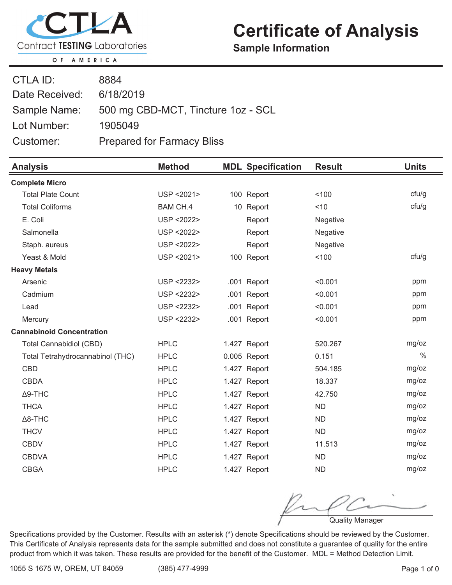

## **Certificate of Analysis**

**Sample Information**

OF AMERICA

| CTLA ID:       | 8884                               |
|----------------|------------------------------------|
| Date Received: | 6/18/2019                          |
| Sample Name:   | 500 mg CBD-MCT, Tincture 1oz - SCL |
| Lot Number:    | 1905049                            |
| Customer:      | <b>Prepared for Farmacy Bliss</b>  |

| <b>Analysis</b>                  | <b>Method</b>   | <b>MDL Specification</b> | <b>Result</b> | <b>Units</b>  |
|----------------------------------|-----------------|--------------------------|---------------|---------------|
| <b>Complete Micro</b>            |                 |                          |               |               |
| <b>Total Plate Count</b>         | USP < 2021>     | 100 Report               | 100           | ctu/g         |
| <b>Total Coliforms</b>           | <b>BAM CH.4</b> | 10 Report                | ~10           | cfu/g         |
| E. Coli                          | USP < 2022>     | Report                   | Negative      |               |
| Salmonella                       | USP < 2022>     | Report                   | Negative      |               |
| Staph. aureus                    | USP < 2022>     | Report                   | Negative      |               |
| Yeast & Mold                     | USP < 2021>     | 100 Report               | 100           | cfu/g         |
| <b>Heavy Metals</b>              |                 |                          |               |               |
| Arsenic                          | USP <2232>      | .001 Report              | < 0.001       | ppm           |
| Cadmium                          | USP <2232>      | Report<br>.001           | < 0.001       | ppm           |
| Lead                             | USP <2232>      | .001 Report              | < 0.001       | ppm           |
| Mercury                          | USP <2232>      | .001 Report              | < 0.001       | ppm           |
| <b>Cannabinoid Concentration</b> |                 |                          |               |               |
| <b>Total Cannabidiol (CBD)</b>   | <b>HPLC</b>     | 1.427 Report             | 520.267       | mg/oz         |
| Total Tetrahydrocannabinol (THC) | <b>HPLC</b>     | 0.005 Report             | 0.151         | $\frac{0}{0}$ |
| <b>CBD</b>                       | <b>HPLC</b>     | 1.427 Report             | 504.185       | mg/oz         |
| <b>CBDA</b>                      | <b>HPLC</b>     | 1.427 Report             | 18.337        | mg/oz         |
| $\Delta$ 9-THC                   | <b>HPLC</b>     | 1.427 Report             | 42.750        | mg/oz         |
| <b>THCA</b>                      | <b>HPLC</b>     | 1.427 Report             | <b>ND</b>     | mg/oz         |
| $\Delta$ 8-THC                   | <b>HPLC</b>     | 1.427 Report             | <b>ND</b>     | mg/oz         |
| <b>THCV</b>                      | <b>HPLC</b>     | 1.427 Report             | <b>ND</b>     | mg/oz         |
| <b>CBDV</b>                      | <b>HPLC</b>     | 1.427 Report             | 11.513        | mg/oz         |
| <b>CBDVA</b>                     | <b>HPLC</b>     | 1.427 Report             | <b>ND</b>     | mg/oz         |
| <b>CBGA</b>                      | <b>HPLC</b>     | 1.427 Report             | <b>ND</b>     | mg/oz         |

Quality Manager

Specifications provided by the Customer. Results with an asterisk (\*) denote Specifications should be reviewed by the Customer. This Certificate of Analysis represents data for the sample submitted and does not constitute a guarantee of quality for the entire product from which it was taken. These results are provided for the benefit of the Customer. MDL = Method Detection Limit.